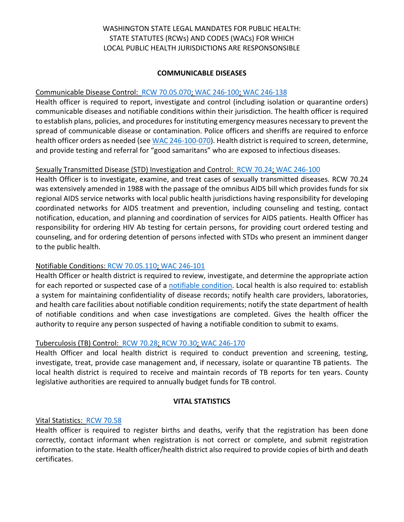# WASHINGTON STATE LEGAL MANDATES FOR PUBLIC HEALTH: STATE STATUTES (RCWs) AND CODES (WACs) FOR WHICH LOCAL PUBLIC HEALTH JURISDICTIONS ARE RESPONSONSIBLE

### **COMMUNICABLE DISEASES**

### Communicable Disease Control: [RCW 70.05.070;](http://app.leg.wa.gov/RCW/default.aspx?cite=70.05.070) [WAC 246-100;](http://apps.leg.wa.gov/wac/default.aspx?cite=246-100) [WAC 246-138](http://apps.leg.wa.gov/wac/default.aspx?cite=246-138)

Health officer is required to report, investigate and control (including isolation or quarantine orders) communicable diseases and notifiable conditions within their jurisdiction. The health officer is required to establish plans, policies, and procedures for instituting emergency measures necessary to prevent the spread of communicable disease or contamination. Police officers and sheriffs are required to enforce health officer orders as needed (se[e WAC 246-100-070\)](http://apps.leg.wa.gov/wac/default.aspx?cite=246-100-070). Health district is required to screen, determine, and provide testing and referral for "good samaritans" who are exposed to infectious diseases.

### Sexually Transmitted Disease (STD) Investigation and Control: [RCW 70.24;](http://app.leg.wa.gov/RCW/default.aspx?cite=70.24) [WAC 246-100](http://apps.leg.wa.gov/wac/default.aspx?cite=246-100)

Health Officer is to investigate, examine, and treat cases of sexually transmitted diseases. RCW 70.24 was extensively amended in 1988 with the passage of the omnibus AIDS bill which provides funds for six regional AIDS service networks with local public health jurisdictions having responsibility for developing coordinated networks for AIDS treatment and prevention, including counseling and testing, contact notification, education, and planning and coordination of services for AIDS patients. Health Officer has responsibility for ordering HIV Ab testing for certain persons, for providing court ordered testing and counseling, and for ordering detention of persons infected with STDs who present an imminent danger to the public health.

## Notifiable Conditions: [RCW 70.05.110;](http://app.leg.wa.gov/RCW/default.aspx?cite=70.05.110) [WAC 246-101](http://apps.leg.wa.gov/wac/default.aspx?cite=246-101)

Health Officer or health district is required to review, investigate, and determine the appropriate action for each reported or suspected case of a [notifiable condition.](http://apps.leg.wa.gov/wac/default.aspx?cite=246-101-101) Local health is also required to: establish a system for maintaining confidentiality of disease records; notify health care providers, laboratories, and health care facilities about notifiable condition requirements; notify the state department of health of notifiable conditions and when case investigations are completed. Gives the health officer the authority to require any person suspected of having a notifiable condition to submit to exams.

### Tuberculosis (TB) Control: [RCW 70.28;](http://app.leg.wa.gov/RCW/default.aspx?cite=70.28) [RCW 70.30;](http://app.leg.wa.gov/rcw/default.aspx?cite=70.30) [WAC 246-170](http://apps.leg.wa.gov/wac/default.aspx?cite=246-170)

Health Officer and local health district is required to conduct prevention and screening, testing, investigate, treat, provide case management and, if necessary, isolate or quarantine TB patients. The local health district is required to receive and maintain records of TB reports for ten years. County legislative authorities are required to annually budget funds for TB control.

#### **VITAL STATISTICS**

### Vital Statistics: [RCW 70.58](http://app.leg.wa.gov/rcw/default.aspx?cite=70.58)

Health officer is required to register births and deaths, verify that the registration has been done correctly, contact informant when registration is not correct or complete, and submit registration information to the state. Health officer/health district also required to provide copies of birth and death certificates.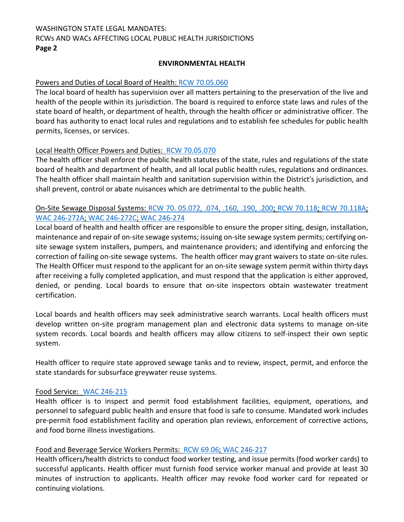# WASHINGTON STATE LEGAL MANDATES: RCWs AND WACs AFFECTING LOCAL PUBLIC HEALTH JURISDICTIONS **Page 2**

### **ENVIRONMENTAL HEALTH**

### Powers and Duties of Local Board of Health[: RCW 70.05.060](http://app.leg.wa.gov/RCW/default.aspx?cite=70.05.060)

The local board of health has supervision over all matters pertaining to the preservation of the live and health of the people within its jurisdiction. The board is required to enforce state laws and rules of the state board of health, or department of health, through the health officer or administrative officer. The board has authority to enact local rules and regulations and to establish fee schedules for public health permits, licenses, or services.

### Local Health Officer Powers and Duties: [RCW 70.05.070](http://app.leg.wa.gov/RCW/default.aspx?cite=70.05.070)

The health officer shall enforce the public health statutes of the state, rules and regulations of the state board of health and department of health, and all local public health rules, regulations and ordinances. The health officer shall maintain health and sanitation supervision within the District's jurisdiction, and shall prevent, control or abate nuisances which are detrimental to the public health.

# On-Site Sewage Disposal Systems: [RCW 70. 05.072, .074, .160, .190, .200;](http://app.leg.wa.gov/RCW/default.aspx?cite=70.05.072) [RCW 70.118;](http://app.leg.wa.gov/RCW/default.aspx?cite=70.118) [RCW 70.118A;](http://app.leg.wa.gov/rcw/default.aspx?cite=70.118A) [WAC 246-272A;](http://app.leg.wa.gov/wac/default.aspx?cite=246-272a) [WAC 246-272C;](http://apps.leg.wa.gov/wac/default.aspx?cite=246-272C) [WAC 246-274](http://apps.leg.wa.gov/wac/default.aspx?cite=246-274)

Local board of health and health officer are responsible to ensure the proper siting, design, installation, maintenance and repair of on-site sewage systems; issuing on-site sewage system permits; certifying onsite sewage system installers, pumpers, and maintenance providers; and identifying and enforcing the correction of failing on-site sewage systems. The health officer may grant waivers to state on-site rules. The Health Officer must respond to the applicant for an on-site sewage system permit within thirty days after receiving a fully completed application, and must respond that the application is either approved, denied, or pending. Local boards to ensure that on-site inspectors obtain wastewater treatment certification.

Local boards and health officers may seek administrative search warrants. Local health officers must develop written on-site program management plan and electronic data systems to manage on-site system records. Local boards and health officers may allow citizens to self-inspect their own septic system.

Health officer to require state approved sewage tanks and to review, inspect, permit, and enforce the state standards for subsurface greywater reuse systems.

### Food Service: [WAC 246-215](http://apps.leg.wa.gov/wac/default.aspx?cite=246-215)

Health officer is to inspect and permit food establishment facilities, equipment, operations, and personnel to safeguard public health and ensure that food is safe to consume. Mandated work includes pre-permit food establishment facility and operation plan reviews, enforcement of corrective actions, and food borne illness investigations.

### Food and Beverage Service Workers Permits: [RCW 69.06;](http://app.leg.wa.gov/rcw/default.aspx?cite=69.06) [WAC 246-217](https://app.leg.wa.gov/wac/default.aspx?cite=246-217)

Health officers/health districts to conduct food worker testing, and issue permits (food worker cards) to successful applicants. Health officer must furnish food service worker manual and provide at least 30 minutes of instruction to applicants. Health officer may revoke food worker card for repeated or continuing violations.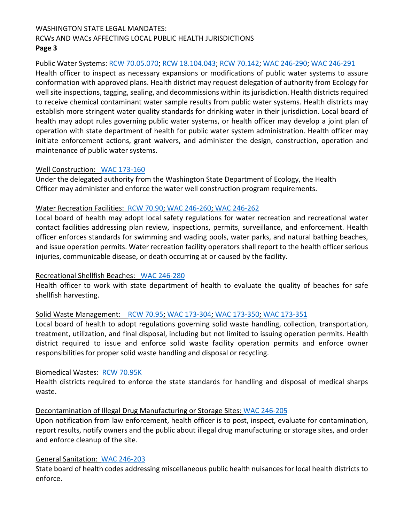## WASHINGTON STATE LEGAL MANDATES: RCWs AND WACs AFFECTING LOCAL PUBLIC HEALTH JURISDICTIONS **Page 3**

## Public Water Systems: [RCW 70.05.070;](http://app.leg.wa.gov/RCW/default.aspx?cite=70.05.070) [RCW 18.104.043;](https://app.leg.wa.gov/rcw/default.aspx?cite=18.104.043) [RCW 70.142;](http://app.leg.wa.gov/rcw/default.aspx?cite=70.142) [WAC 246-290;](http://apps.leg.wa.gov/wac/default.aspx?cite=246-290) [WAC 246-291](http://apps.leg.wa.gov/wac/default.aspx?cite=246-291)

Health officer to inspect as necessary expansions or modifications of public water systems to assure conformation with approved plans. Health district may request delegation of authority from Ecology for well site inspections, tagging, sealing, and decommissions within its jurisdiction. Health districts required to receive chemical contaminant water sample results from public water systems. Health districts may establish more stringent water quality standards for drinking water in their jurisdiction. Local board of health may adopt rules governing public water systems, or health officer may develop a joint plan of operation with state department of health for public water system administration. Health officer may initiate enforcement actions, grant waivers, and administer the design, construction, operation and maintenance of public water systems.

### Well Construction: [WAC 173-160](http://apps.leg.wa.gov/WAC/default.aspx?cite=173-160)

Under the delegated authority from the Washington State Department of Ecology, the Health Officer may administer and enforce the water well construction program requirements.

## Water Recreation Facilities: [RCW 70.90;](http://app.leg.wa.gov/RCW/default.aspx?cite=70.90) [WAC 246-260;](http://apps.leg.wa.gov/WAC/default.aspx?cite=246-260) [WAC 246-262](http://apps.leg.wa.gov/WAC/default.aspx?cite=246-262)

Local board of health may adopt local safety regulations for water recreation and recreational water contact facilities addressing plan review, inspections, permits, surveillance, and enforcement. Health officer enforces standards for swimming and wading pools, water parks, and natural bathing beaches, and issue operation permits. Water recreation facility operators shall report to the health officer serious injuries, communicable disease, or death occurring at or caused by the facility.

### Recreational Shellfish Beaches: [WAC 246-280](http://apps.leg.wa.gov/wac/default.aspx?cite=246-280)

Health officer to work with state department of health to evaluate the quality of beaches for safe shellfish harvesting.

### Solid Waste Management: [RCW 70.95;](http://app.leg.wa.gov/RCW/default.aspx?cite=70.95) [WAC 173-304;](http://apps.leg.wa.gov/WAC/default.aspx?cite=173-304) [WAC 173-350;](http://apps.leg.wa.gov/WAC/default.aspx?cite=173-350) [WAC 173-351](http://apps.leg.wa.gov/WAC/default.aspx?cite=173-351)

Local board of health to adopt regulations governing solid waste handling, collection, transportation, treatment, utilization, and final disposal, including but not limited to issuing operation permits. Health district required to issue and enforce solid waste facility operation permits and enforce owner responsibilities for proper solid waste handling and disposal or recycling.

### Biomedical Wastes: [RCW 70.95K](http://app.leg.wa.gov/RCW/default.aspx?cite=70.95K)

Health districts required to enforce the state standards for handling and disposal of medical sharps waste.

## Decontamination of Illegal Drug Manufacturing or Storage Sites: [WAC 246-205](http://apps.leg.wa.gov/wac/default.aspx?cite=246-205)

Upon notification from law enforcement, health officer is to post, inspect, evaluate for contamination, report results, notify owners and the public about illegal drug manufacturing or storage sites, and order and enforce cleanup of the site.

## General Sanitation: [WAC 246-203](https://app.leg.wa.gov/wac/default.aspx?dispo=true&cite=246-203)

State board of health codes addressing miscellaneous public health nuisances for local health districts to enforce.